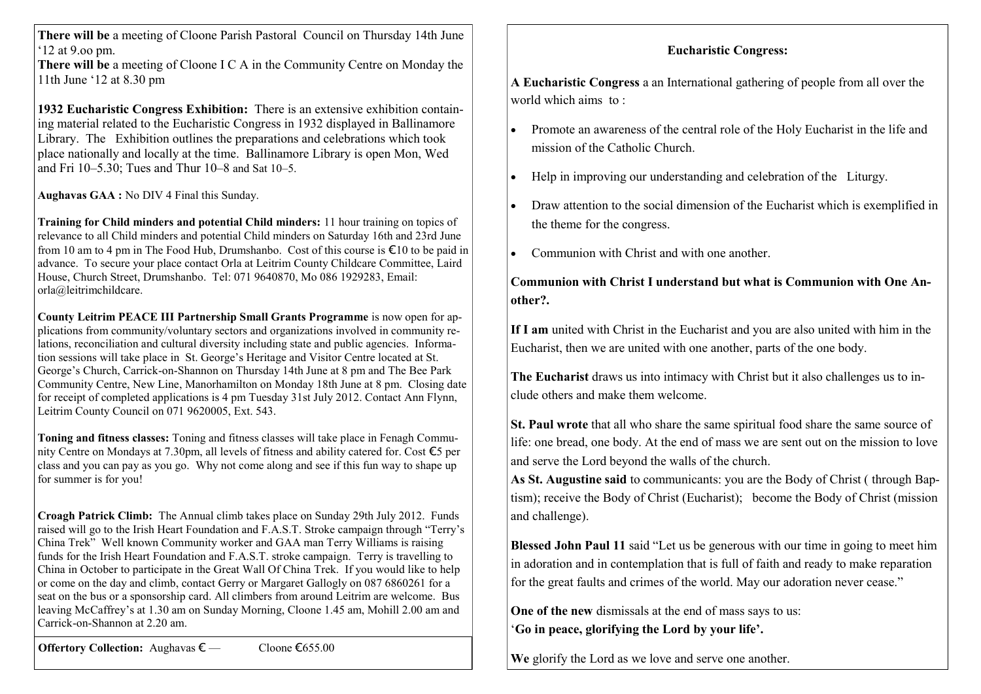**There will be** a meeting of Cloone Parish Pastoral Council on Thursday 14th June  $12$  at 9 oo pm.

**There will be** a meeting of Cloone I C A in the Community Centre on Monday the 11th June ‗12 at 8.30 pm

**1932 Eucharistic Congress Exhibition:** There is an extensive exhibition containing material related to the Eucharistic Congress in 1932 displayed in Ballinamore Library. The Exhibition outlines the preparations and celebrations which took place nationally and locally at the time. Ballinamore Library is open Mon, Wed and Fri 10–5.30; Tues and Thur 10–8 and Sat 10–5.

**Aughavas GAA :** No DIV 4 Final this Sunday.

**Training for Child minders and potential Child minders:** 11 hour training on topics of relevance to all Child minders and potential Child minders on Saturday 16th and 23rd June from 10 am to 4 pm in The Food Hub, Drumshanbo. Cost of this course is  $\epsilon$ 10 to be paid in advance. To secure your place contact Orla at Leitrim County Childcare Committee, Laird House, Church Street, Drumshanbo. Tel: 071 9640870, Mo 086 1929283, Email: orla@leitrimchildcare.

**County Leitrim PEACE III Partnership Small Grants Programme** is now open for applications from community/voluntary sectors and organizations involved in community relations, reconciliation and cultural diversity including state and public agencies. Information sessions will take place in St. George's Heritage and Visitor Centre located at St. George's Church, Carrick-on-Shannon on Thursday 14th June at 8 pm and The Bee Park Community Centre, New Line, Manorhamilton on Monday 18th June at 8 pm. Closing date for receipt of completed applications is 4 pm Tuesday 31st July 2012. Contact Ann Flynn, Leitrim County Council on 071 9620005, Ext. 543.

**Toning and fitness classes:** Toning and fitness classes will take place in Fenagh Community Centre on Mondays at 7.30pm, all levels of fitness and ability catered for. Cost €5 per class and you can pay as you go. Why not come along and see if this fun way to shape up for summer is for you!

**Croagh Patrick Climb:** The Annual climb takes place on Sunday 29th July 2012. Funds raised will go to the Irish Heart Foundation and F.A.S.T. Stroke campaign through "Terry's China Trek<sup>"</sup> Well known Community worker and GAA man Terry Williams is raising funds for the Irish Heart Foundation and F.A.S.T. stroke campaign. Terry is travelling to China in October to participate in the Great Wall Of China Trek. If you would like to help or come on the day and climb, contact Gerry or Margaret Gallogly on 087 6860261 for a seat on the bus or a sponsorship card. All climbers from around Leitrim are welcome. Bus leaving McCaffrey's at 1.30 am on Sunday Morning, Cloone 1.45 am, Mohill 2.00 am and Carrick-on-Shannon at 2.20 am.

**Offertory Collection:** Aughavas  $\epsilon$  — Cloone €655.00

## **Eucharistic Congress:**

**A Eucharistic Congress** a an International gathering of people from all over the world which aims to :

- Promote an awareness of the central role of the Holy Eucharist in the life and mission of the Catholic Church.
- Help in improving our understanding and celebration of the Liturgy.
- Draw attention to the social dimension of the Eucharist which is exemplified in the theme for the congress.
- Communion with Christ and with one another.

## **Communion with Christ I understand but what is Communion with One Another?.**

**If I am** united with Christ in the Eucharist and you are also united with him in the Eucharist, then we are united with one another, parts of the one body.

**The Eucharist** draws us into intimacy with Christ but it also challenges us to include others and make them welcome.

**St. Paul wrote** that all who share the same spiritual food share the same source of life: one bread, one body. At the end of mass we are sent out on the mission to love and serve the Lord beyond the walls of the church.

**As St. Augustine said** to communicants: you are the Body of Christ ( through Baptism); receive the Body of Christ (Eucharist); become the Body of Christ (mission and challenge).

**Blessed John Paul 11** said "Let us be generous with our time in going to meet him in adoration and in contemplation that is full of faith and ready to make reparation for the great faults and crimes of the world. May our adoration never cease."

**One of the new** dismissals at the end of mass says to us: ‗**Go in peace, glorifying the Lord by your life'.**

**We** glorify the Lord as we love and serve one another.